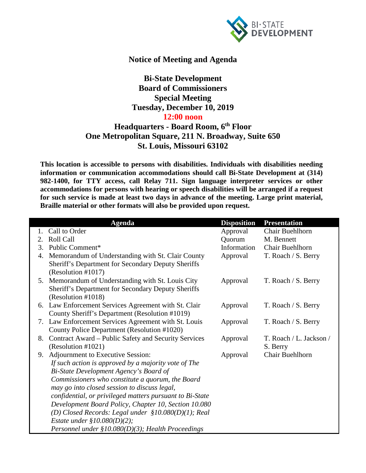

## **Notice of Meeting and Agenda**

**Bi-State Development Board of Commissioners Special Meeting Tuesday, December 10, 2019 12:00 noon**

## **Headquarters - Board Room, 6th Floor One Metropolitan Square, 211 N. Broadway, Suite 650 St. Louis, Missouri 63102**

**This location is accessible to persons with disabilities. Individuals with disabilities needing information or communication accommodations should call Bi-State Development at (314) 982-1400, for TTY access, call Relay 711. Sign language interpreter services or other accommodations for persons with hearing or speech disabilities will be arranged if a request for such service is made at least two days in advance of the meeting. Large print material, Braille material or other formats will also be provided upon request.**

|    | <b>Agenda</b>                                                                                          | <b>Disposition</b> | <b>Presentation</b>     |
|----|--------------------------------------------------------------------------------------------------------|--------------------|-------------------------|
| 1. | Call to Order                                                                                          | Approval           | Chair Buehlhorn         |
| 2. | Roll Call                                                                                              | Quorum             | M. Bennett              |
| 3. | Public Comment*                                                                                        | Information        | Chair Buehlhorn         |
| 4. | Memorandum of Understanding with St. Clair County                                                      | Approval           | T. Roach / S. Berry     |
|    | Sheriff's Department for Secondary Deputy Sheriffs                                                     |                    |                         |
|    | (Resolution #1017)                                                                                     |                    |                         |
|    | 5. Memorandum of Understanding with St. Louis City                                                     | Approval           | T. Roach / S. Berry     |
|    | Sheriff's Department for Secondary Deputy Sheriffs                                                     |                    |                         |
|    | (Resolution #1018)                                                                                     |                    |                         |
|    | 6. Law Enforcement Services Agreement with St. Clair                                                   | Approval           | T. Roach / S. Berry     |
|    | County Sheriff's Department (Resolution #1019)<br>7. Law Enforcement Services Agreement with St. Louis |                    |                         |
|    | County Police Department (Resolution #1020)                                                            | Approval           | T. Roach / S. Berry     |
| 8. | Contract Award – Public Safety and Security Services                                                   | Approval           | T. Roach / L. Jackson / |
|    | (Resolution #1021)                                                                                     |                    | S. Berry                |
| 9. | Adjournment to Executive Session:                                                                      | Approval           | Chair Buehlhorn         |
|    | If such action is approved by a majority vote of The                                                   |                    |                         |
|    | Bi-State Development Agency's Board of                                                                 |                    |                         |
|    | Commissioners who constitute a quorum, the Board                                                       |                    |                         |
|    | may go into closed session to discuss legal,                                                           |                    |                         |
|    | confidential, or privileged matters pursuant to Bi-State                                               |                    |                         |
|    | Development Board Policy, Chapter 10, Section 10.080                                                   |                    |                         |
|    | (D) Closed Records: Legal under $$10.080(D)(1)$ ; Real                                                 |                    |                         |
|    | <i>Estate under</i> $$10.080(D)(2);$                                                                   |                    |                         |
|    | Personnel under $$10.080(D)(3)$ ; Health Proceedings                                                   |                    |                         |